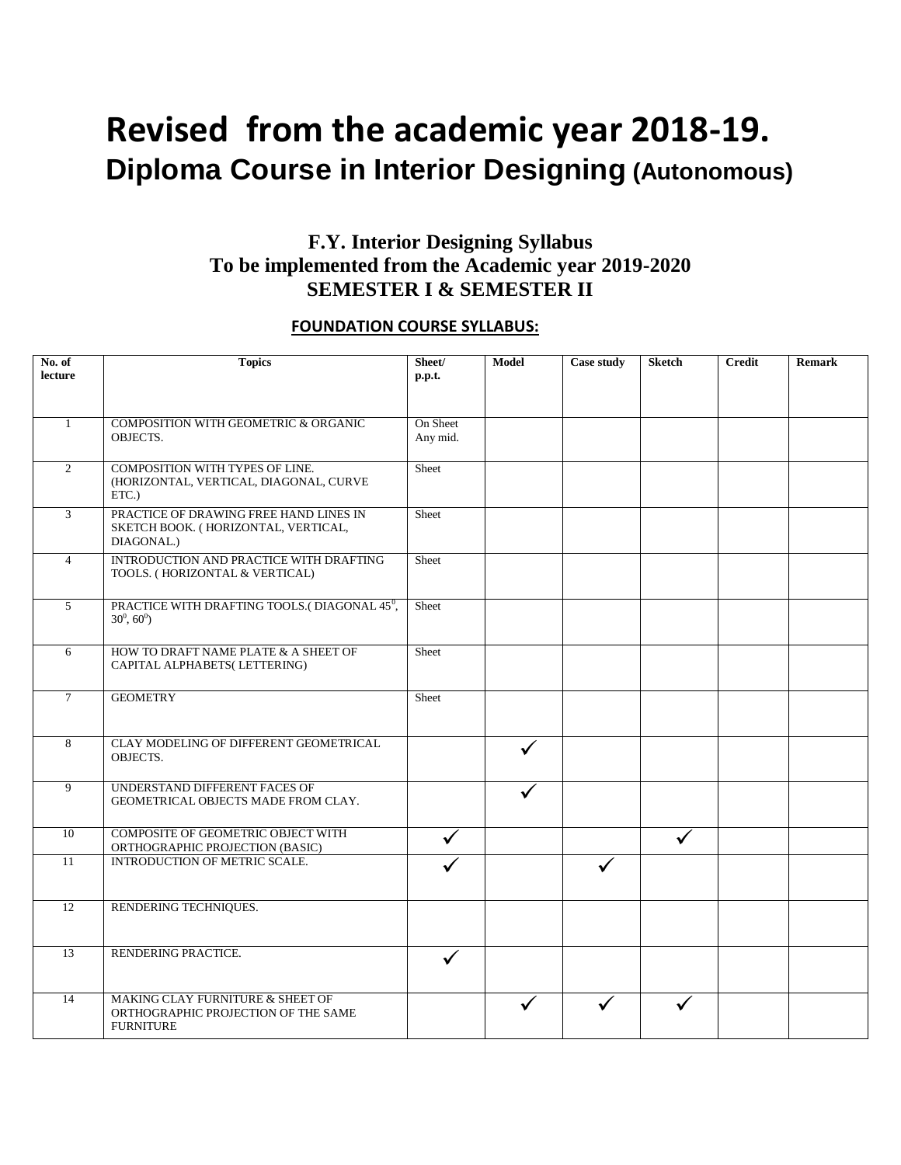# **Revised from the academic year 2018-19. Diploma Course in Interior Designing (Autonomous)**

### **F.Y. Interior Designing Syllabus To be implemented from the Academic year 2019-2020 SEMESTER I & SEMESTER II**

#### **FOUNDATION COURSE SYLLABUS:**

| No. of<br>lecture | <b>Topics</b>                                                                               | Sheet/<br>p.p.t.     | <b>Model</b> | <b>Case study</b> | <b>Sketch</b> | <b>Credit</b> | <b>Remark</b> |
|-------------------|---------------------------------------------------------------------------------------------|----------------------|--------------|-------------------|---------------|---------------|---------------|
|                   |                                                                                             |                      |              |                   |               |               |               |
| $\mathbf{1}$      | COMPOSITION WITH GEOMETRIC & ORGANIC<br>OBJECTS.                                            | On Sheet<br>Any mid. |              |                   |               |               |               |
| 2                 | COMPOSITION WITH TYPES OF LINE.<br>(HORIZONTAL, VERTICAL, DIAGONAL, CURVE<br>ETC.)          | Sheet                |              |                   |               |               |               |
| 3                 | PRACTICE OF DRAWING FREE HAND LINES IN<br>SKETCH BOOK. (HORIZONTAL, VERTICAL,<br>DIAGONAL.) | Sheet                |              |                   |               |               |               |
| $\overline{4}$    | INTRODUCTION AND PRACTICE WITH DRAFTING<br>TOOLS. (HORIZONTAL & VERTICAL)                   | Sheet                |              |                   |               |               |               |
| 5                 | PRACTICE WITH DRAFTING TOOLS.(DIAGONAL 45 <sup>0</sup> ,<br>$30^0, 60^0$                    | Sheet                |              |                   |               |               |               |
| 6                 | HOW TO DRAFT NAME PLATE & A SHEET OF<br>CAPITAL ALPHABETS( LETTERING)                       | Sheet                |              |                   |               |               |               |
| $7\phantom{.0}$   | <b>GEOMETRY</b>                                                                             | Sheet                |              |                   |               |               |               |
| 8                 | CLAY MODELING OF DIFFERENT GEOMETRICAL<br>OBJECTS.                                          |                      |              |                   |               |               |               |
| 9                 | UNDERSTAND DIFFERENT FACES OF<br>GEOMETRICAL OBJECTS MADE FROM CLAY.                        |                      |              |                   |               |               |               |
| 10                | COMPOSITE OF GEOMETRIC OBJECT WITH<br>ORTHOGRAPHIC PROJECTION (BASIC)                       |                      |              |                   | ✓             |               |               |
| 11                | INTRODUCTION OF METRIC SCALE.                                                               |                      |              |                   |               |               |               |
| 12                | RENDERING TECHNIQUES.                                                                       |                      |              |                   |               |               |               |
| 13                | RENDERING PRACTICE.                                                                         | ✓                    |              |                   |               |               |               |
| 14                | MAKING CLAY FURNITURE & SHEET OF<br>ORTHOGRAPHIC PROJECTION OF THE SAME<br><b>FURNITURE</b> |                      |              |                   |               |               |               |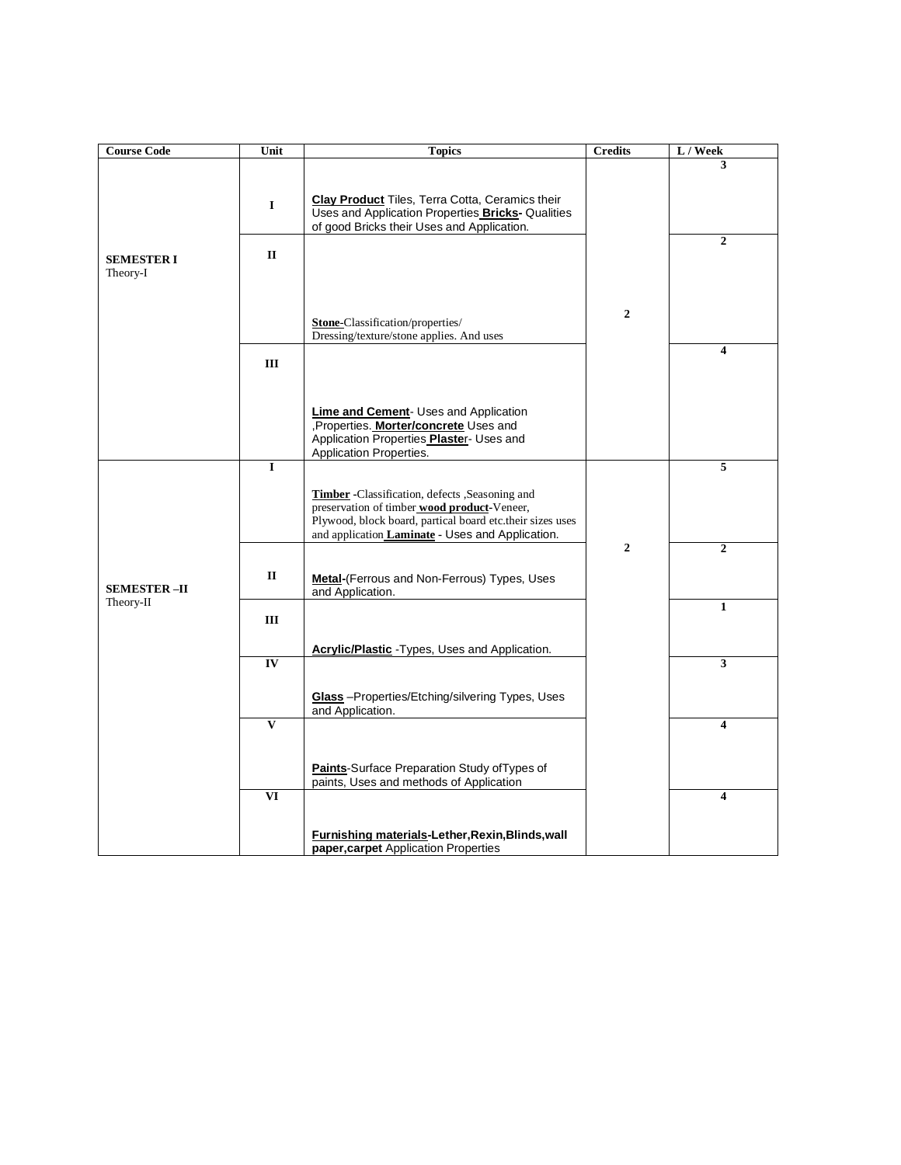| <b>Course Code</b> | Unit                     | <b>Topics</b>                                                                                            | <b>Credits</b> | L / Week       |
|--------------------|--------------------------|----------------------------------------------------------------------------------------------------------|----------------|----------------|
|                    |                          |                                                                                                          |                | 3              |
|                    |                          |                                                                                                          |                |                |
|                    | $\mathbf I$              | <b>Clay Product</b> Tiles, Terra Cotta, Ceramics their                                                   |                |                |
|                    |                          | Uses and Application Properties Bricks- Qualities<br>of good Bricks their Uses and Application.          |                |                |
|                    |                          |                                                                                                          |                | $\overline{2}$ |
| <b>SEMESTER I</b>  | $\mathbf{I}$             |                                                                                                          |                |                |
| Theory-I           |                          |                                                                                                          |                |                |
|                    |                          |                                                                                                          |                |                |
|                    |                          |                                                                                                          | $\mathbf{2}$   |                |
|                    |                          | Stone-Classification/properties/<br>Dressing/texture/stone applies. And uses                             |                |                |
|                    |                          |                                                                                                          |                | 4              |
|                    | Ш                        |                                                                                                          |                |                |
|                    |                          |                                                                                                          |                |                |
|                    |                          | <b>Lime and Cement- Uses and Application</b>                                                             |                |                |
|                    |                          | Properties. Morter/concrete Uses and                                                                     |                |                |
|                    |                          | Application Properties Plaster- Uses and                                                                 |                |                |
|                    | I                        | Application Properties.                                                                                  |                | 5              |
|                    |                          |                                                                                                          |                |                |
|                    |                          | Timber -Classification, defects ,Seasoning and                                                           |                |                |
|                    |                          | preservation of timber wood product-Veneer,<br>Plywood, block board, partical board etc.their sizes uses |                |                |
|                    |                          | and application Laminate - Uses and Application.                                                         |                |                |
|                    |                          |                                                                                                          | $\mathbf{2}$   | $\overline{2}$ |
|                    | $\mathbf{I}$             | Metal-(Ferrous and Non-Ferrous) Types, Uses                                                              |                |                |
| <b>SEMESTER-II</b> |                          | and Application.                                                                                         |                |                |
| Theory-II          |                          |                                                                                                          |                | $\mathbf{1}$   |
|                    | Ш                        |                                                                                                          |                |                |
|                    |                          | Acrylic/Plastic - Types, Uses and Application.                                                           |                |                |
|                    | IV                       |                                                                                                          |                | 3              |
|                    |                          |                                                                                                          |                |                |
|                    |                          | Glass - Properties/Etching/silvering Types, Uses                                                         |                |                |
|                    | $\mathbf{V}$             | and Application.                                                                                         |                | 4              |
|                    |                          |                                                                                                          |                |                |
|                    |                          |                                                                                                          |                |                |
|                    |                          | Paints-Surface Preparation Study of Types of<br>paints, Uses and methods of Application                  |                |                |
|                    | $\overline{\mathbf{VI}}$ |                                                                                                          |                | 4              |
|                    |                          |                                                                                                          |                |                |
|                    |                          | Furnishing materials-Lether, Rexin, Blinds, wall                                                         |                |                |
|                    |                          | paper, carpet Application Properties                                                                     |                |                |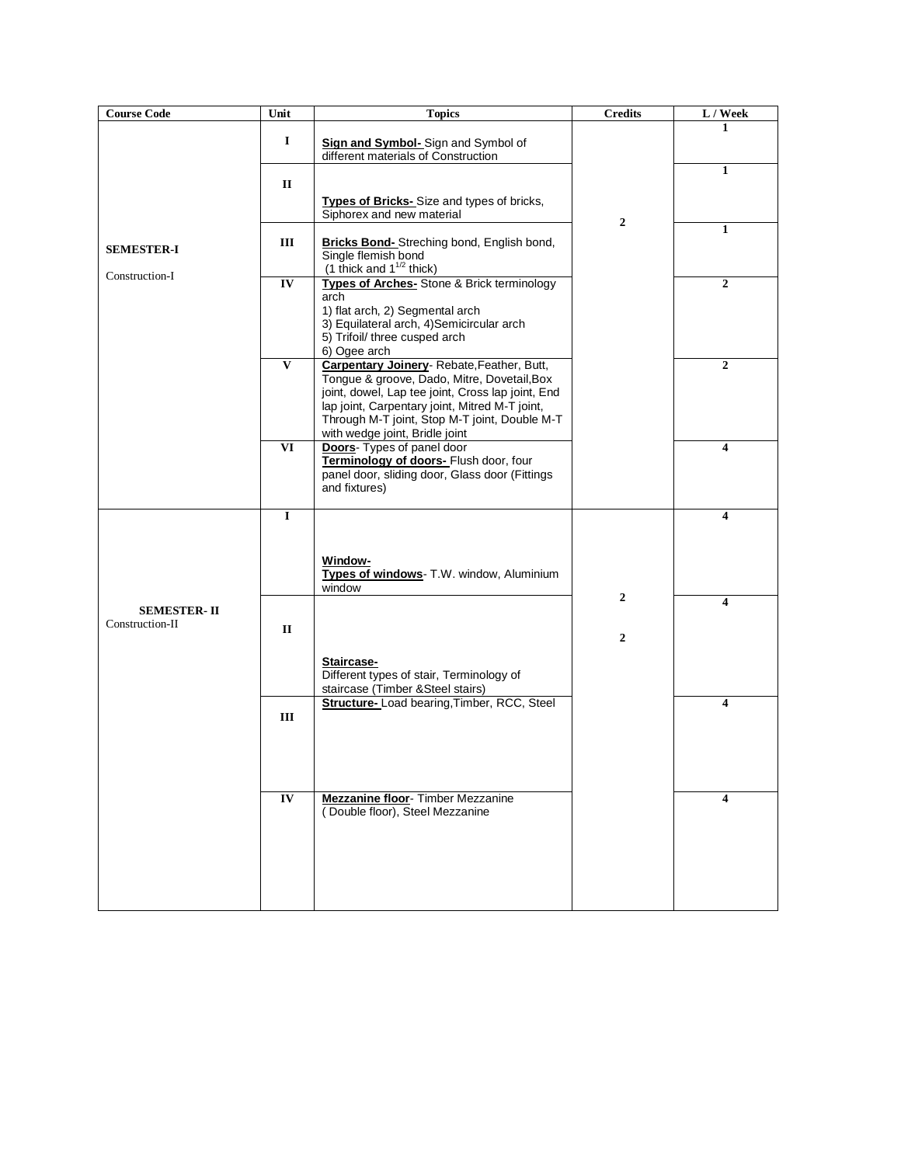| <b>Course Code</b>                    | Unit                     | <b>Topics</b>                                                                                                                                                                                                                                                                      | <b>Credits</b> | L / Week     |
|---------------------------------------|--------------------------|------------------------------------------------------------------------------------------------------------------------------------------------------------------------------------------------------------------------------------------------------------------------------------|----------------|--------------|
|                                       | 1                        | Sign and Symbol-Sign and Symbol of<br>different materials of Construction                                                                                                                                                                                                          |                | 1            |
|                                       | $\mathbf{I}$             |                                                                                                                                                                                                                                                                                    |                | 1            |
|                                       |                          | Types of Bricks-Size and types of bricks,<br>Siphorex and new material                                                                                                                                                                                                             |                |              |
| <b>SEMESTER-I</b>                     | Ш                        | <b>Bricks Bond-</b> Streching bond, English bond,<br>Single flemish bond<br>(1 thick and $1^{1/2}$ thick)                                                                                                                                                                          | $\overline{2}$ | 1            |
| Construction-I                        | IV                       | <b>Types of Arches-</b> Stone & Brick terminology<br>arch<br>1) flat arch, 2) Segmental arch<br>3) Equilateral arch, 4) Semicircular arch<br>5) Trifoil/ three cusped arch<br>6) Ogee arch                                                                                         |                | $\mathbf{2}$ |
|                                       | $\mathbf{V}$             | Carpentary Joinery-Rebate, Feather, Butt,<br>Tongue & groove, Dado, Mitre, Dovetail, Box<br>joint, dowel, Lap tee joint, Cross lap joint, End<br>lap joint, Carpentary joint, Mitred M-T joint,<br>Through M-T joint, Stop M-T joint, Double M-T<br>with wedge joint, Bridle joint |                | 2            |
|                                       | $\overline{\mathbf{VI}}$ | Doors- Types of panel door<br>Terminology of doors- Flush door, four<br>panel door, sliding door, Glass door (Fittings<br>and fixtures)                                                                                                                                            |                | 4            |
|                                       | $\mathbf I$              |                                                                                                                                                                                                                                                                                    |                | 4            |
|                                       |                          | <b>Window-</b><br>Types of windows- T.W. window, Aluminium<br>window                                                                                                                                                                                                               | $\overline{2}$ |              |
| <b>SEMESTER-II</b><br>Construction-II |                          |                                                                                                                                                                                                                                                                                    |                | 4            |
|                                       | П                        | Staircase-<br>Different types of stair, Terminology of<br>staircase (Timber & Steel stairs)                                                                                                                                                                                        | $\overline{2}$ |              |
|                                       | Ш                        | Structure- Load bearing, Timber, RCC, Steel                                                                                                                                                                                                                                        |                | 4            |
|                                       | IV                       | <b>Mezzanine floor</b> - Timber Mezzanine<br>(Double floor), Steel Mezzanine                                                                                                                                                                                                       |                | 4            |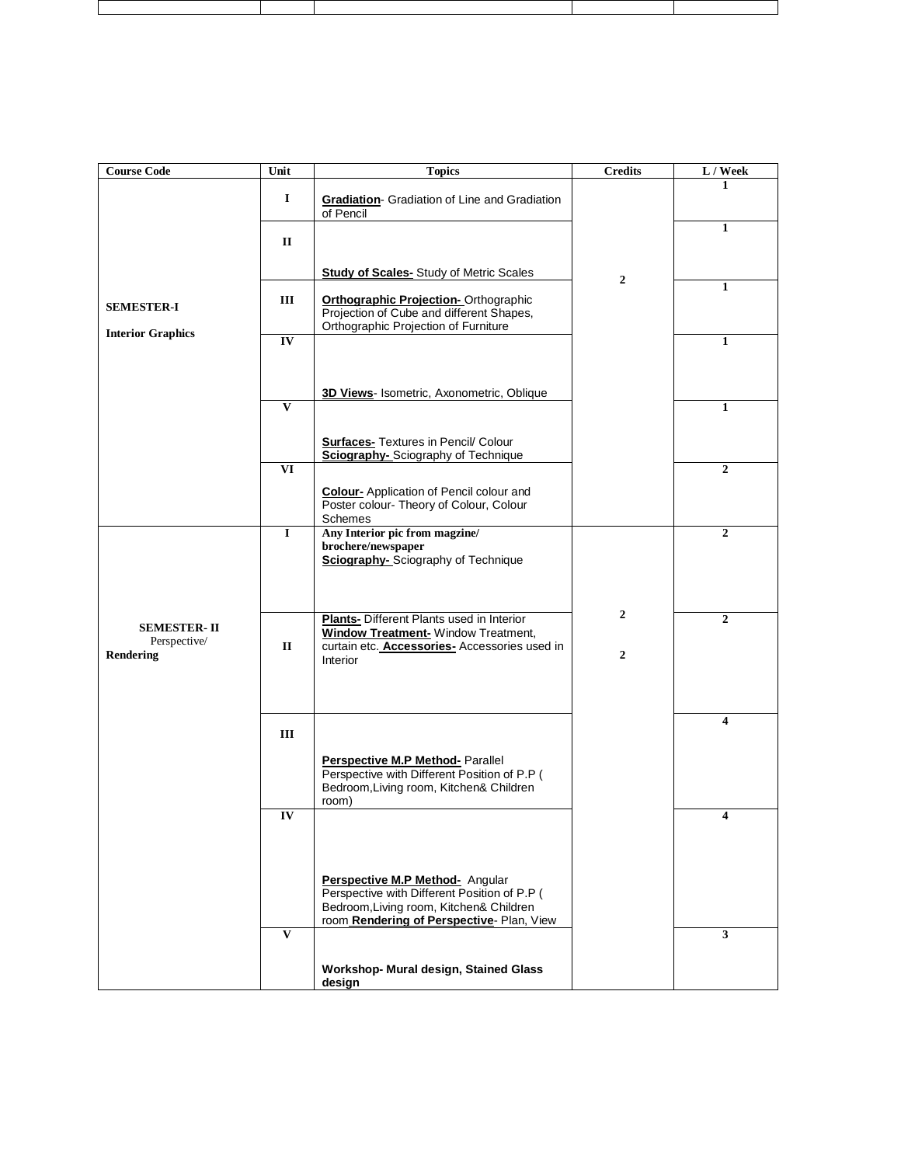| <b>Course Code</b>                              | Unit                     | <b>Topics</b>                                                                                                                                                          | <b>Credits</b>                     | L / Week       |
|-------------------------------------------------|--------------------------|------------------------------------------------------------------------------------------------------------------------------------------------------------------------|------------------------------------|----------------|
|                                                 | 1                        | <b>Gradiation-</b> Gradiation of Line and Gradiation<br>of Pencil                                                                                                      |                                    | 1              |
|                                                 | П                        |                                                                                                                                                                        |                                    | $\mathbf{1}$   |
|                                                 |                          | <b>Study of Scales-</b> Study of Metric Scales                                                                                                                         | $\mathbf{2}$                       |                |
| <b>SEMESTER-I</b>                               | III                      | <b>Orthographic Projection-Orthographic</b><br>Projection of Cube and different Shapes,<br>Orthographic Projection of Furniture                                        |                                    | $\mathbf{1}$   |
| <b>Interior Graphics</b>                        | IV                       |                                                                                                                                                                        |                                    | $\mathbf{1}$   |
|                                                 | $\overline{\mathbf{v}}$  | 3D Views- Isometric, Axonometric, Oblique                                                                                                                              |                                    | $\mathbf{1}$   |
|                                                 |                          | <b>Surfaces-</b> Textures in Pencil/ Colour<br><b>Sciography-</b> Sciography of Technique                                                                              |                                    |                |
|                                                 | $\overline{\mathbf{VI}}$ | <b>Colour-</b> Application of Pencil colour and<br>Poster colour- Theory of Colour, Colour<br>Schemes                                                                  |                                    | $\overline{2}$ |
|                                                 | $\bf{I}$                 | Any Interior pic from magzine/<br>brochere/newspaper<br><b>Sciography-</b> Sciography of Technique                                                                     |                                    | $\overline{2}$ |
| <b>SEMESTER-II</b><br>Perspective/<br>Rendering | $\mathbf{I}$             | <b>Plants-</b> Different Plants used in Interior<br><b>Window Treatment- Window Treatment,</b><br>curtain etc. Accessories- Accessories used in<br>Interior            | $\overline{2}$<br>$\boldsymbol{2}$ | $\mathbf{2}$   |
|                                                 | Ш                        | Perspective M.P Method- Parallel<br>Perspective with Different Position of P.P (<br>Bedroom, Living room, Kitchen& Children                                            |                                    | 4              |
|                                                 | IV                       | room)                                                                                                                                                                  |                                    |                |
|                                                 | $\mathbf{V}$             | Perspective M.P Method- Angular<br>Perspective with Different Position of P.P (<br>Bedroom, Living room, Kitchen& Children<br>room Rendering of Perspective-Plan, View |                                    | 3              |
|                                                 |                          | Workshop- Mural design, Stained Glass<br>design                                                                                                                        |                                    |                |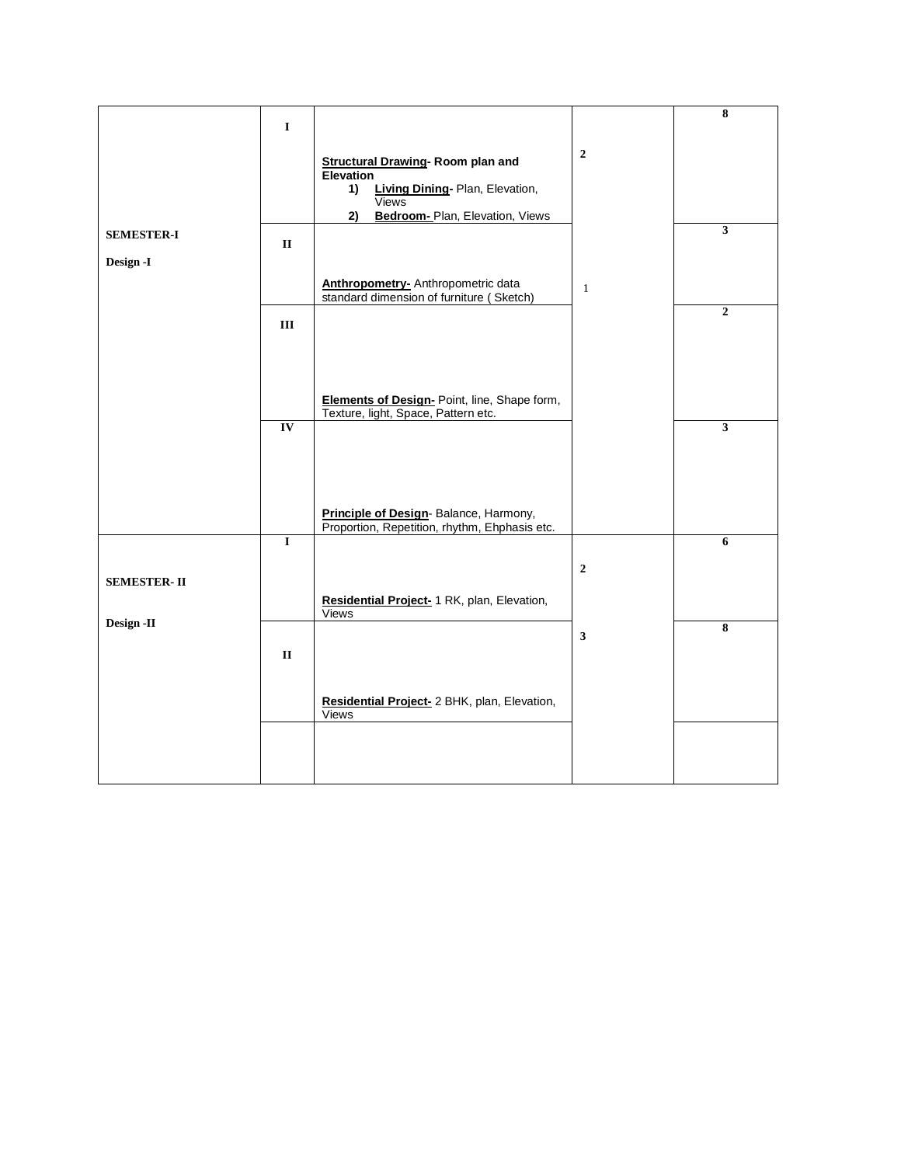|                                | $\bf{I}$               |                                                                                                      |                | 8                       |
|--------------------------------|------------------------|------------------------------------------------------------------------------------------------------|----------------|-------------------------|
|                                |                        | <b>Structural Drawing-Room plan and</b><br><b>Elevation</b><br>Living Dining- Plan, Elevation,<br>1) | $\overline{2}$ |                         |
|                                |                        | <b>Views</b><br>Bedroom- Plan, Elevation, Views<br>2)                                                |                |                         |
| <b>SEMESTER-I</b><br>Design -I | $\mathbf{I}\mathbf{I}$ |                                                                                                      |                | $\overline{\mathbf{3}}$ |
|                                |                        | <b>Anthropometry-</b> Anthropometric data<br>standard dimension of furniture (Sketch)                | $\mathbf{1}$   | $\overline{2}$          |
|                                | Ш                      |                                                                                                      |                |                         |
|                                |                        | Elements of Design- Point, line, Shape form,<br>Texture, light, Space, Pattern etc.                  |                |                         |
|                                | IV                     |                                                                                                      |                | $\overline{\mathbf{3}}$ |
|                                |                        | Principle of Design-Balance, Harmony,<br>Proportion, Repetition, rhythm, Ehphasis etc.               |                |                         |
|                                | $\mathbf I$            |                                                                                                      |                | 6                       |
| <b>SEMESTER-II</b>             |                        | Residential Project- 1 RK, plan, Elevation,                                                          | $\overline{2}$ |                         |
| Design-II                      |                        | Views                                                                                                | $\mathbf{3}$   | $\overline{\bf 8}$      |
|                                | $\mathbf{I}\mathbf{I}$ |                                                                                                      |                |                         |
|                                |                        | Residential Project- 2 BHK, plan, Elevation,<br>Views                                                |                |                         |
|                                |                        |                                                                                                      |                |                         |
|                                |                        |                                                                                                      |                |                         |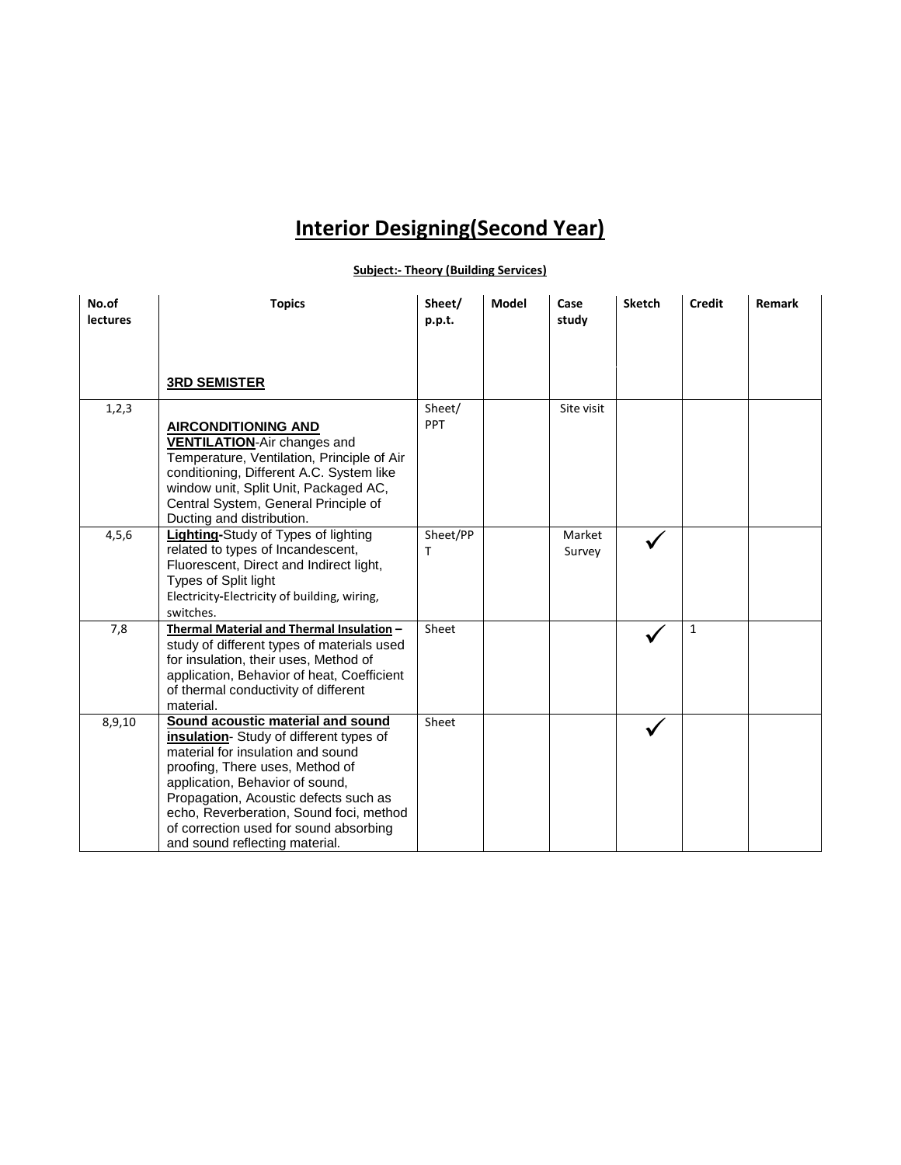## **Interior Designing(Second Year)**

#### **Subject:- Theory (Building Services)**

| No.of<br><b>lectures</b> | <b>Topics</b>                                                                                                                                                                                                                                                                                                                                          | Sheet/<br>p.p.t. | <b>Model</b> | Case<br>study    | <b>Sketch</b> | <b>Credit</b> | Remark |
|--------------------------|--------------------------------------------------------------------------------------------------------------------------------------------------------------------------------------------------------------------------------------------------------------------------------------------------------------------------------------------------------|------------------|--------------|------------------|---------------|---------------|--------|
|                          | <b>3RD SEMISTER</b>                                                                                                                                                                                                                                                                                                                                    |                  |              |                  |               |               |        |
| 1,2,3                    | <b>AIRCONDITIONING AND</b><br><b>VENTILATION-Air changes and</b><br>Temperature, Ventilation, Principle of Air<br>conditioning, Different A.C. System like<br>window unit, Split Unit, Packaged AC,<br>Central System, General Principle of<br>Ducting and distribution.                                                                               | Sheet/<br>PPT    |              | Site visit       |               |               |        |
| 4, 5, 6                  | Lighting-Study of Types of lighting<br>related to types of Incandescent,<br>Fluorescent, Direct and Indirect light,<br>Types of Split light<br>Electricity-Electricity of building, wiring,<br>switches.                                                                                                                                               | Sheet/PP<br>т    |              | Market<br>Survey |               |               |        |
| 7,8                      | Thermal Material and Thermal Insulation -<br>study of different types of materials used<br>for insulation, their uses, Method of<br>application, Behavior of heat, Coefficient<br>of thermal conductivity of different<br>material.                                                                                                                    | Sheet            |              |                  |               | $\mathbf{1}$  |        |
| 8,9,10                   | Sound acoustic material and sound<br>insulation-Study of different types of<br>material for insulation and sound<br>proofing, There uses, Method of<br>application, Behavior of sound,<br>Propagation, Acoustic defects such as<br>echo, Reverberation, Sound foci, method<br>of correction used for sound absorbing<br>and sound reflecting material. | Sheet            |              |                  |               |               |        |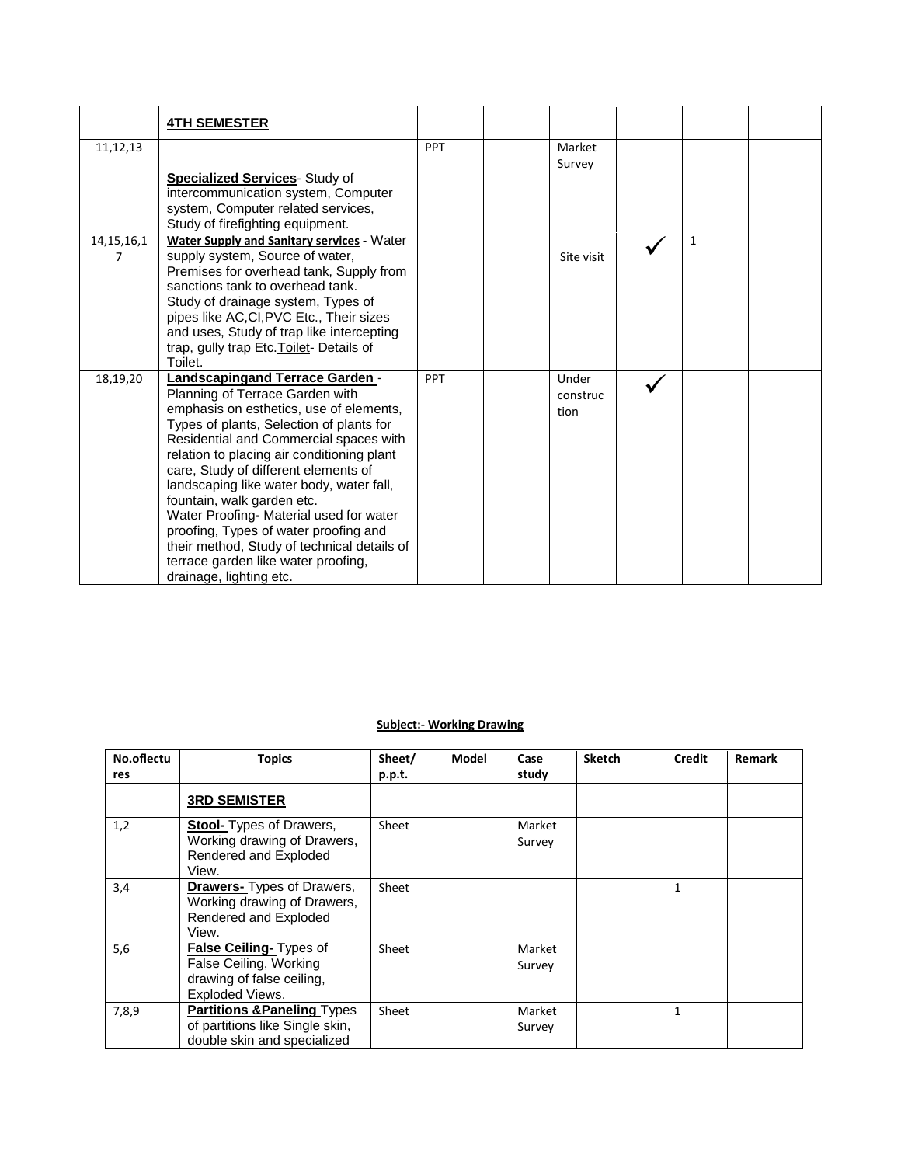|                    | <b>4TH SEMESTER</b>                                                                                                                                                                                                                                                                                                                                                                                                                                                                                                                                                      |            |                           |              |  |
|--------------------|--------------------------------------------------------------------------------------------------------------------------------------------------------------------------------------------------------------------------------------------------------------------------------------------------------------------------------------------------------------------------------------------------------------------------------------------------------------------------------------------------------------------------------------------------------------------------|------------|---------------------------|--------------|--|
| 11,12,13           |                                                                                                                                                                                                                                                                                                                                                                                                                                                                                                                                                                          | <b>PPT</b> | Market<br>Survey          |              |  |
|                    | <b>Specialized Services</b> - Study of<br>intercommunication system, Computer<br>system, Computer related services,<br>Study of firefighting equipment.                                                                                                                                                                                                                                                                                                                                                                                                                  |            |                           |              |  |
| 14, 15, 16, 1<br>7 | <b>Water Supply and Sanitary services - Water</b><br>supply system, Source of water,<br>Premises for overhead tank, Supply from<br>sanctions tank to overhead tank.<br>Study of drainage system, Types of<br>pipes like AC, CI, PVC Etc., Their sizes<br>and uses, Study of trap like intercepting<br>trap, gully trap Etc. Toilet- Details of<br>Toilet.                                                                                                                                                                                                                |            | Site visit                | $\mathbf{1}$ |  |
| 18,19,20           | Landscapingand Terrace Garden -<br>Planning of Terrace Garden with<br>emphasis on esthetics, use of elements,<br>Types of plants, Selection of plants for<br>Residential and Commercial spaces with<br>relation to placing air conditioning plant<br>care, Study of different elements of<br>landscaping like water body, water fall,<br>fountain, walk garden etc.<br>Water Proofing- Material used for water<br>proofing, Types of water proofing and<br>their method, Study of technical details of<br>terrace garden like water proofing,<br>drainage, lighting etc. | <b>PPT</b> | Under<br>construc<br>tion |              |  |

#### **Subject:- Working Drawing**

| No.oflectu | <b>Topics</b>                                                                                            | Sheet/ | Model | Case             | <b>Sketch</b> | Credit       | <b>Remark</b> |
|------------|----------------------------------------------------------------------------------------------------------|--------|-------|------------------|---------------|--------------|---------------|
| res        |                                                                                                          | p.p.t. |       | study            |               |              |               |
|            | <b>3RD SEMISTER</b>                                                                                      |        |       |                  |               |              |               |
| 1,2        | <b>Stool-</b> Types of Drawers,<br>Working drawing of Drawers,<br>Rendered and Exploded<br>View.         | Sheet  |       | Market<br>Survey |               |              |               |
| 3,4        | <b>Drawers-</b> Types of Drawers,<br>Working drawing of Drawers,<br>Rendered and Exploded<br>View.       | Sheet  |       |                  |               | $\mathbf{1}$ |               |
| 5,6        | False Ceiling- Types of<br>False Ceiling, Working<br>drawing of false ceiling,<br>Exploded Views.        | Sheet  |       | Market<br>Survey |               |              |               |
| 7,8,9      | <b>Partitions &amp; Paneling Types</b><br>of partitions like Single skin,<br>double skin and specialized | Sheet  |       | Market<br>Survey |               | 1            |               |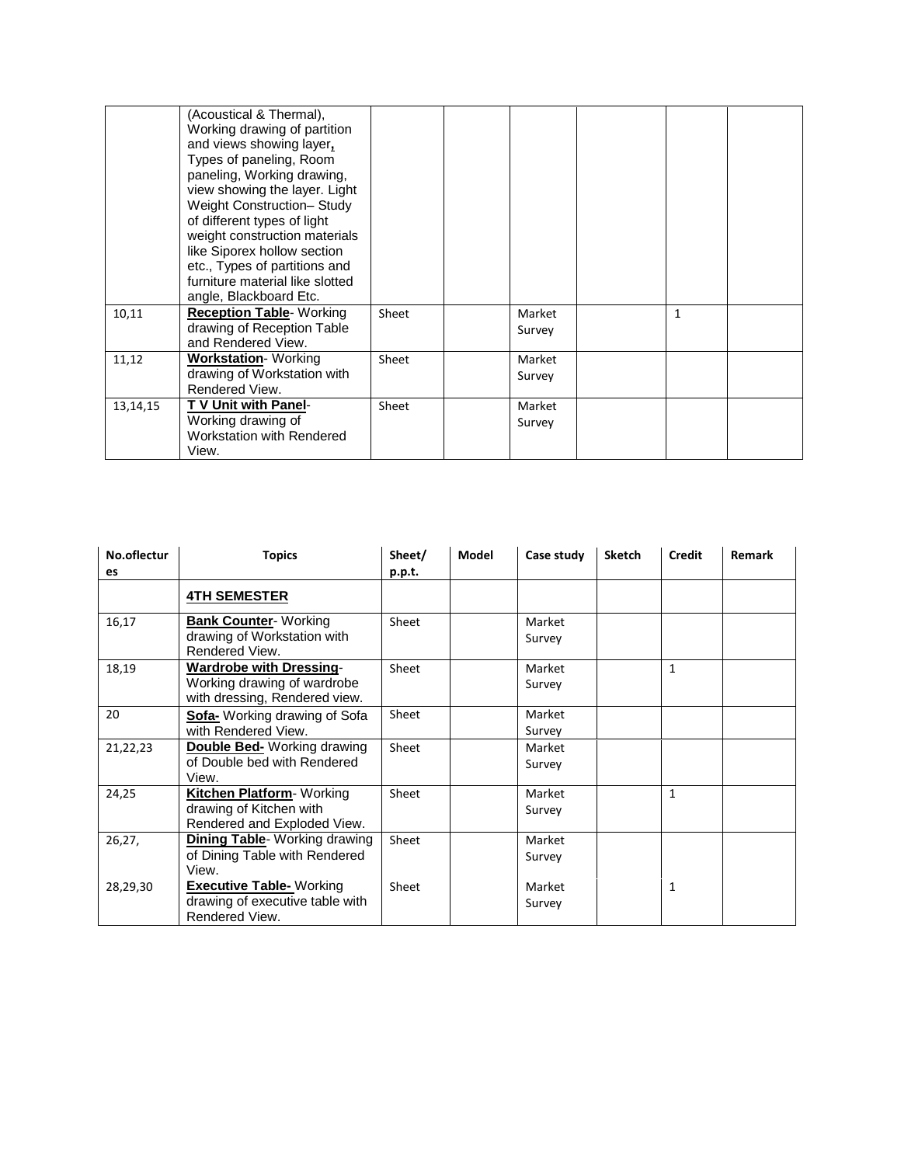|          | (Acoustical & Thermal),<br>Working drawing of partition<br>and views showing layer,<br>Types of paneling, Room<br>paneling, Working drawing,<br>view showing the layer. Light<br>Weight Construction- Study<br>of different types of light<br>weight construction materials<br>like Siporex hollow section<br>etc., Types of partitions and<br>furniture material like slotted<br>angle, Blackboard Etc. |       |                  |              |  |
|----------|----------------------------------------------------------------------------------------------------------------------------------------------------------------------------------------------------------------------------------------------------------------------------------------------------------------------------------------------------------------------------------------------------------|-------|------------------|--------------|--|
| 10,11    | <b>Reception Table- Working</b><br>drawing of Reception Table<br>and Rendered View.                                                                                                                                                                                                                                                                                                                      | Sheet | Market<br>Survey | $\mathbf{1}$ |  |
| 11,12    | <b>Workstation- Working</b><br>drawing of Workstation with<br>Rendered View.                                                                                                                                                                                                                                                                                                                             | Sheet | Market<br>Survey |              |  |
| 13,14,15 | T V Unit with Panel-<br>Working drawing of<br>Workstation with Rendered<br>View.                                                                                                                                                                                                                                                                                                                         | Sheet | Market<br>Survey |              |  |

| No.oflectur | <b>Topics</b>                                                | Sheet/ | <b>Model</b> | Case study | <b>Sketch</b> | <b>Credit</b> | <b>Remark</b> |
|-------------|--------------------------------------------------------------|--------|--------------|------------|---------------|---------------|---------------|
| <b>es</b>   |                                                              | p.p.t. |              |            |               |               |               |
|             | <b>4TH SEMESTER</b>                                          |        |              |            |               |               |               |
| 16,17       | <b>Bank Counter- Working</b>                                 | Sheet  |              | Market     |               |               |               |
|             | drawing of Workstation with<br>Rendered View.                |        |              | Survey     |               |               |               |
| 18,19       | <b>Wardrobe with Dressing-</b>                               | Sheet  |              | Market     |               | $\mathbf{1}$  |               |
|             | Working drawing of wardrobe<br>with dressing, Rendered view. |        |              | Survey     |               |               |               |
| 20          | Sofa- Working drawing of Sofa                                | Sheet  |              | Market     |               |               |               |
|             | with Rendered View.                                          |        |              | Survey     |               |               |               |
| 21,22,23    | <b>Double Bed-</b> Working drawing                           | Sheet  |              | Market     |               |               |               |
|             | of Double bed with Rendered                                  |        |              | Survey     |               |               |               |
|             | View.                                                        |        |              |            |               |               |               |
| 24,25       | Kitchen Platform- Working                                    | Sheet  |              | Market     |               | $\mathbf{1}$  |               |
|             | drawing of Kitchen with                                      |        |              | Survey     |               |               |               |
|             | Rendered and Exploded View.                                  |        |              |            |               |               |               |
| 26,27,      | <b>Dining Table-</b> Working drawing                         | Sheet  |              | Market     |               |               |               |
|             | of Dining Table with Rendered                                |        |              | Survey     |               |               |               |
|             | View.                                                        |        |              |            |               |               |               |
| 28,29,30    | <b>Executive Table-</b> Working                              | Sheet  |              | Market     |               | $\mathbf{1}$  |               |
|             | drawing of executive table with<br>Rendered View.            |        |              | Survey     |               |               |               |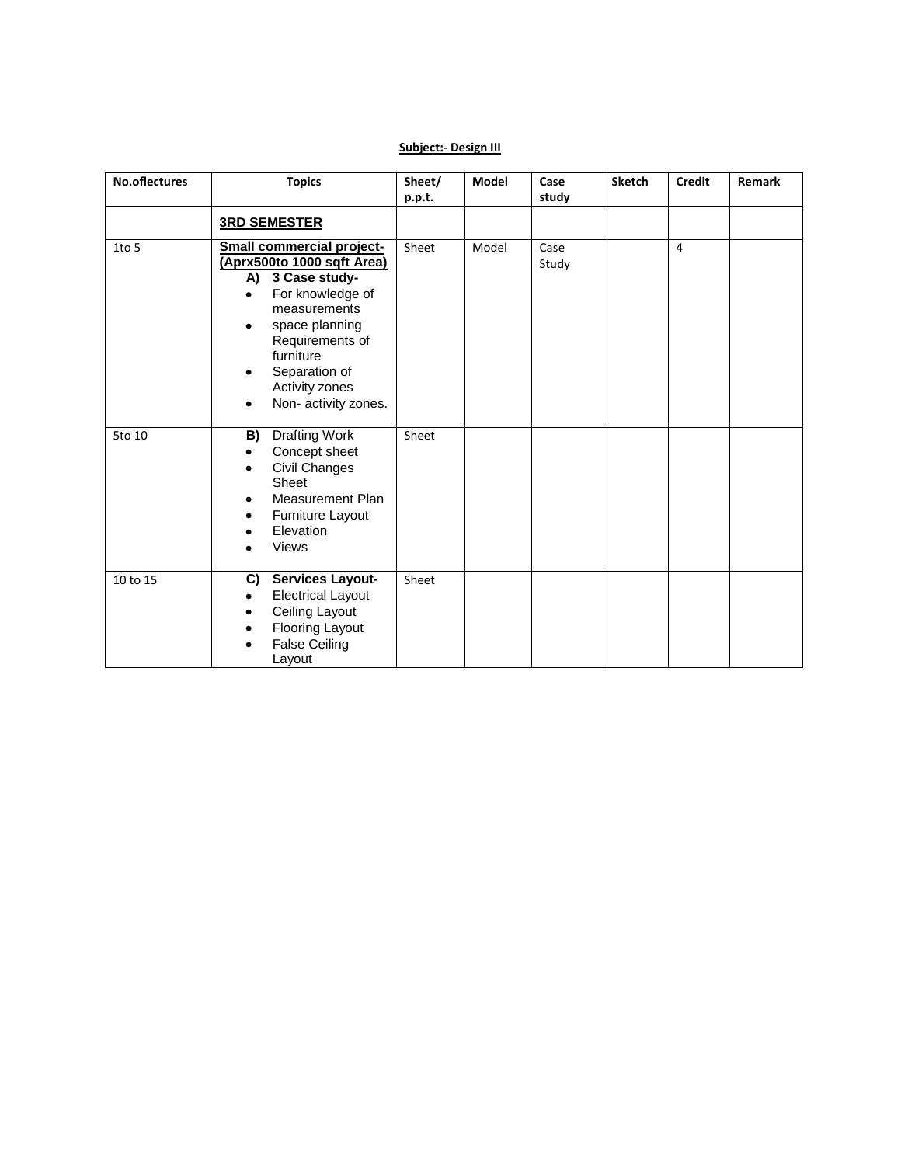#### **Subject:- Design III**

| No.oflectures | <b>Topics</b>                                                                                                                                                                                                                                                      | Sheet/<br>p.p.t. | <b>Model</b> | Case<br>study | <b>Sketch</b> | <b>Credit</b>  | Remark |
|---------------|--------------------------------------------------------------------------------------------------------------------------------------------------------------------------------------------------------------------------------------------------------------------|------------------|--------------|---------------|---------------|----------------|--------|
|               | <b>3RD SEMESTER</b>                                                                                                                                                                                                                                                |                  |              |               |               |                |        |
| 1to 5         | <b>Small commercial project-</b><br>(Aprx500to 1000 sqft Area)<br>A)<br>3 Case study-<br>For knowledge of<br>$\bullet$<br>measurements<br>space planning<br>٠<br>Requirements of<br>furniture<br>Separation of<br>٠<br>Activity zones<br>Non- activity zones.<br>٠ | Sheet            | Model        | Case<br>Study |               | $\overline{4}$ |        |
| 5to 10        | Drafting Work<br>B)<br>Concept sheet<br>$\bullet$<br>Civil Changes<br>٠<br>Sheet<br><b>Measurement Plan</b><br>٠<br>Furniture Layout<br>٠<br>Elevation<br><b>Views</b>                                                                                             | Sheet            |              |               |               |                |        |
| 10 to 15      | Services Layout-<br>C)<br><b>Electrical Layout</b><br>$\bullet$<br>Ceiling Layout<br>٠<br>Flooring Layout<br><b>False Ceiling</b><br>Layout                                                                                                                        | Sheet            |              |               |               |                |        |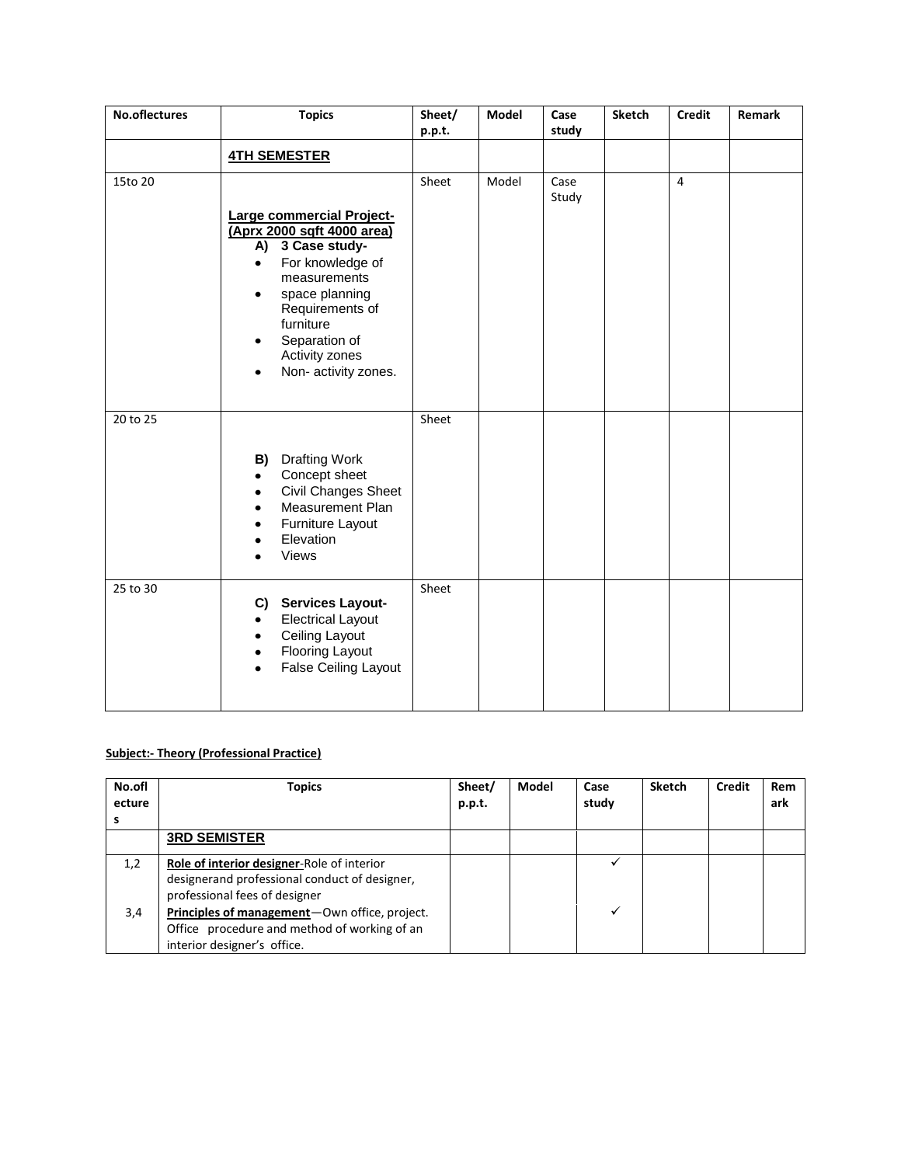| No.oflectures | <b>Topics</b>                                                                                                                                                                                                                                                                    | Sheet/<br>p.p.t. | Model | Case<br>study | <b>Sketch</b> | <b>Credit</b>  | Remark |
|---------------|----------------------------------------------------------------------------------------------------------------------------------------------------------------------------------------------------------------------------------------------------------------------------------|------------------|-------|---------------|---------------|----------------|--------|
|               | <b>4TH SEMESTER</b>                                                                                                                                                                                                                                                              |                  |       |               |               |                |        |
| 15to 20       | Large commercial Project-<br>(Aprx 2000 sqft 4000 area)<br>A) 3 Case study-<br>For knowledge of<br>$\bullet$<br>measurements<br>space planning<br>$\bullet$<br>Requirements of<br>furniture<br>Separation of<br>$\bullet$<br>Activity zones<br>Non- activity zones.<br>$\bullet$ | Sheet            | Model | Case<br>Study |               | $\overline{4}$ |        |
| 20 to 25      | <b>B)</b> Drafting Work<br>Concept sheet<br>٠<br>Civil Changes Sheet<br>$\bullet$<br>Measurement Plan<br>٠<br>Furniture Layout<br>٠<br>Elevation<br>٠<br>Views<br>$\bullet$                                                                                                      | Sheet            |       |               |               |                |        |
| 25 to 30      | C) Services Layout-<br><b>Electrical Layout</b><br>$\bullet$<br>Ceiling Layout<br>$\bullet$<br><b>Flooring Layout</b><br>$\bullet$<br>False Ceiling Layout<br>$\bullet$                                                                                                          | Sheet            |       |               |               |                |        |

#### **Subject:- Theory (Professional Practice)**

| No.ofl<br>ecture | Topics                                                                                                                       | Sheet/<br>p.p.t. | Model | Case<br>study | <b>Sketch</b> | Credit | Rem<br>ark |
|------------------|------------------------------------------------------------------------------------------------------------------------------|------------------|-------|---------------|---------------|--------|------------|
|                  | <b>3RD SEMISTER</b>                                                                                                          |                  |       |               |               |        |            |
| 1,2              | Role of interior designer-Role of interior<br>designerand professional conduct of designer,<br>professional fees of designer |                  |       |               |               |        |            |
| 3,4              | Principles of management-Own office, project.<br>Office procedure and method of working of an<br>interior designer's office. |                  |       |               |               |        |            |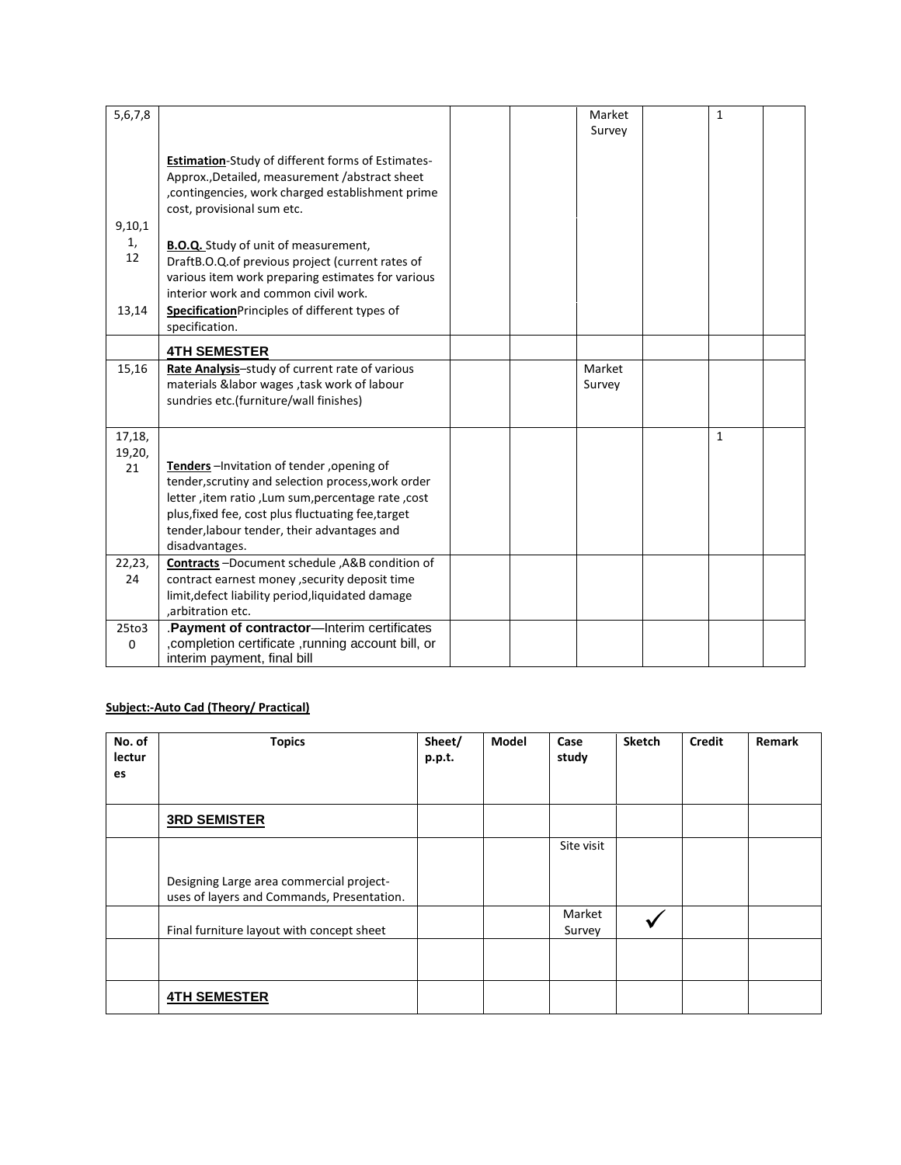| 5,6,7,8 |                                                          |  | Market | $\mathbf{1}$ |  |
|---------|----------------------------------------------------------|--|--------|--------------|--|
|         |                                                          |  | Survey |              |  |
|         |                                                          |  |        |              |  |
|         | <b>Estimation-Study of different forms of Estimates-</b> |  |        |              |  |
|         | Approx., Detailed, measurement /abstract sheet           |  |        |              |  |
|         | , contingencies, work charged establishment prime        |  |        |              |  |
|         | cost, provisional sum etc.                               |  |        |              |  |
| 9,10,1  |                                                          |  |        |              |  |
| 1,      | <b>B.O.Q.</b> Study of unit of measurement,              |  |        |              |  |
| 12      | DraftB.O.Q.of previous project (current rates of         |  |        |              |  |
|         | various item work preparing estimates for various        |  |        |              |  |
|         | interior work and common civil work.                     |  |        |              |  |
| 13,14   | Specification Principles of different types of           |  |        |              |  |
|         | specification.                                           |  |        |              |  |
|         |                                                          |  |        |              |  |
|         | <b>4TH SEMESTER</b>                                      |  |        |              |  |
| 15,16   | Rate Analysis-study of current rate of various           |  | Market |              |  |
|         | materials &labor wages , task work of labour             |  | Survey |              |  |
|         | sundries etc.(furniture/wall finishes)                   |  |        |              |  |
|         |                                                          |  |        |              |  |
| 17,18,  |                                                          |  |        | $\mathbf{1}$ |  |
| 19,20,  |                                                          |  |        |              |  |
| 21      | Tenders-Invitation of tender, opening of                 |  |        |              |  |
|         | tender, scrutiny and selection process, work order       |  |        |              |  |
|         | letter, item ratio, Lum sum, percentage rate, cost       |  |        |              |  |
|         | plus, fixed fee, cost plus fluctuating fee, target       |  |        |              |  |
|         | tender, labour tender, their advantages and              |  |        |              |  |
|         | disadvantages.                                           |  |        |              |  |
| 22,23,  | Contracts -Document schedule , A&B condition of          |  |        |              |  |
| 24      | contract earnest money , security deposit time           |  |        |              |  |
|         | limit, defect liability period, liquidated damage        |  |        |              |  |
|         | ,arbitration etc.                                        |  |        |              |  |
| 25to3   | Payment of contractor-Interim certificates               |  |        |              |  |
| 0       | , completion certificate , running account bill, or      |  |        |              |  |
|         | interim payment, final bill                              |  |        |              |  |

#### **Subject:-Auto Cad (Theory/ Practical)**

| No. of<br>lectur<br>es | <b>Topics</b>                                                                          | Sheet/<br>p.p.t. | <b>Model</b> | Case<br>study    | <b>Sketch</b> | <b>Credit</b> | <b>Remark</b> |
|------------------------|----------------------------------------------------------------------------------------|------------------|--------------|------------------|---------------|---------------|---------------|
|                        | <b>3RD SEMISTER</b>                                                                    |                  |              |                  |               |               |               |
|                        |                                                                                        |                  |              | Site visit       |               |               |               |
|                        | Designing Large area commercial project-<br>uses of layers and Commands, Presentation. |                  |              |                  |               |               |               |
|                        | Final furniture layout with concept sheet                                              |                  |              | Market<br>Survey |               |               |               |
|                        |                                                                                        |                  |              |                  |               |               |               |
|                        | <b>4TH SEMESTER</b>                                                                    |                  |              |                  |               |               |               |